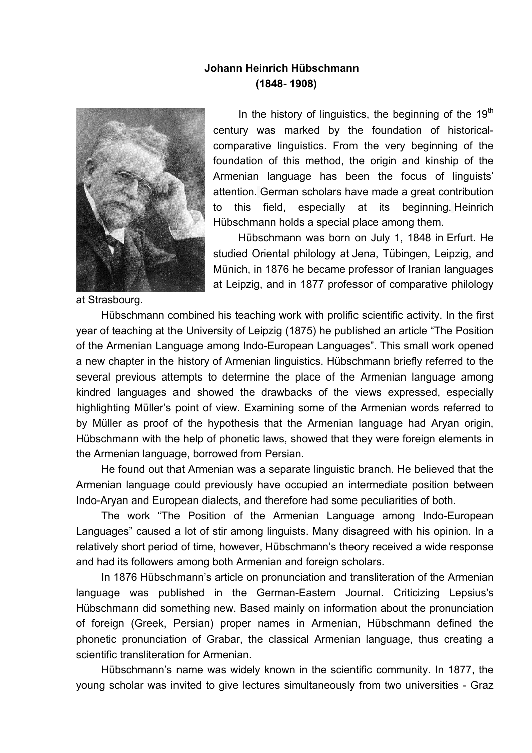## **Johann Heinrich Hübschmann (1848- 1908)**



In the history of linguistics, the beginning of the  $19<sup>th</sup>$ century was marked by the foundation of historicalcomparative linguistics. From the very beginning of the foundation of this method, the origin and kinship of the Armenian language has been the focus of linguists' attention. German scholars have made a great contribution to this field, especially at its beginning. Heinrich Hübschmann holds a special place among them.

Hübschmann was born on July 1, 1848 in Erfurt. He studied Oriental philology at Jena, Tübingen, Leipzig, and Münich, in 1876 he became professor of Iranian languages at Leipzig, and in 1877 professor of comparative philology

at Strasbourg.

Hübschmann combined his teaching work with prolific scientific activity. In the first year of teaching at the University of Leipzig (1875) he published an article "The Position of the Armenian Language among Indo-European Languages". This small work opened a new chapter in the history of Armenian linguistics. Hübschmann briefly referred to the several previous attempts to determine the place of the Armenian language among kindred languages and showed the drawbacks of the views expressed, especially highlighting Müller's point of view. Examining some of the Armenian words referred to by Müller as proof of the hypothesis that the Armenian language had Aryan origin, Hübschmann with the help of phonetic laws, showed that they were foreign elements in the Armenian language, borrowed from Persian.

He found out that Armenian was a separate linguistic branch. He believed that the Armenian language could previously have occupied an intermediate position between Indo-Aryan and European dialects, and therefore had some peculiarities of both.

The work "The Position of the Armenian Language among Indo-European Languages" caused a lot of stir among linguists. Many disagreed with his opinion. In a relatively short period of time, however, Hübschmann's theory received a wide response and had its followers among both Armenian and foreign scholars.

In 1876 Hübschmann's article on pronunciation and transliteration of the Armenian language was published in the German-Eastern Journal. Criticizing Lepsius's Hübschmann did something new. Based mainly on information about the pronunciation of foreign (Greek, Persian) proper names in Armenian, Hübschmann defined the phonetic pronunciation of Grabar, the classical Armenian language, thus creating a scientific transliteration for Armenian.

Hübschmann's name was widely known in the scientific community. In 1877, the young scholar was invited to give lectures simultaneously from two universities - Graz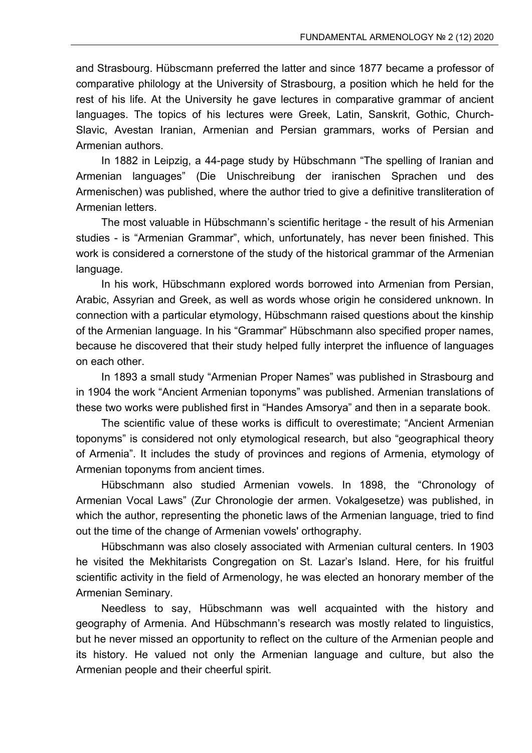and Strasbourg. Hübscmann preferred the latter and since 1877 became a professor of comparative philology at the University of Strasbourg, a position which he held for the rest of his life. At the University he gave lectures in comparative grammar of ancient languages. The topics of his lectures were Greek, Latin, Sanskrit, Gothic, Church-Slavic, Avestan Iranian, Armenian and Persian grammars, works of Persian and Armenian authors.

In 1882 in Leipzig, a 44-page study by Hübschmann "The spelling of Iranian and Armenian languages" (Die Unischreibung der iranischen Sprachen und des Armenischen) was published, where the author tried to give a definitive transliteration of Armenian letters.

The most valuable in Hübschmann's scientific heritage - the result of his Armenian studies - is "Armenian Grammar", which, unfortunately, has never been finished. This work is considered a cornerstone of the study of the historical grammar of the Armenian language.

In his work, Hübschmann explored words borrowed into Armenian from Persian, Arabic, Assyrian and Greek, as well as words whose origin he considered unknown. In connection with a particular etymology, Hübschmann raised questions about the kinship of the Armenian language. In his "Grammar" Hübschmann also specified proper names, because he discovered that their study helped fully interpret the influence of languages on each other.

In 1893 a small study "Armenian Proper Names" was published in Strasbourg and in 1904 the work "Ancient Armenian toponyms" was published. Armenian translations of these two works were published first in "Handes Amsorya" and then in a separate book.

The scientific value of these works is difficult to overestimate; "Ancient Armenian toponyms" is considered not only etymological research, but also "geographical theory of Armenia". It includes the study of provinces and regions of Armenia, etymology of Armenian toponyms from ancient times.

Hübschmann also studied Armenian vowels. In 1898, the "Chronology of Armenian Vocal Laws" (Zur Chronologie der armen. Vokalgesetze) was published, in which the author, representing the phonetic laws of the Armenian language, tried to find out the time of the change of Armenian vowels' orthography.

Hübschmann was also closely associated with Armenian cultural centers. In 1903 he visited the Mekhitarists Congregation on St. Lazar's Island. Here, for his fruitful scientific activity in the field of Armenology, he was elected an honorary member of the Armenian Seminary.

Needless to say, Hübschmann was well acquainted with the history and geography of Armenia. And Hübschmann's research was mostly related to linguistics, but he never missed an opportunity to reflect on the culture of the Armenian people and its history. He valued not only the Armenian language and culture, but also the Armenian people and their cheerful spirit.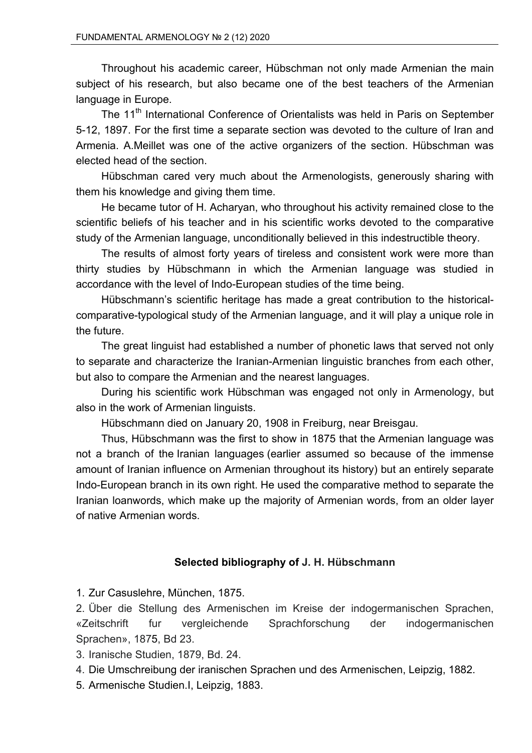Throughout his academic career, Hübschman not only made Armenian the main subject of his research, but also became one of the best teachers of the Armenian language in Europe.

The 11<sup>th</sup> International Conference of Orientalists was held in Paris on September 5-12, 1897. For the first time a separate section was devoted to the culture of Iran and Armenia. A.Meillet was one of the active organizers of the section. Hübschman was elected head of the section.

Hübschman cared very much about the Armenologists, generously sharing with them his knowledge and giving them time.

He became tutor of H. Acharyan, who throughout his activity remained close to the scientific beliefs of his teacher and in his scientific works devoted to the comparative study of the Armenian language, unconditionally believed in this indestructible theory.

The results of almost forty years of tireless and consistent work were more than thirty studies by Hübschmann in which the Armenian language was studied in accordance with the level of Indo-European studies of the time being.

Hübschmann's scientific heritage has made a great contribution to the historicalcomparative-typological study of the Armenian language, and it will play a unique role in the future.

The great linguist had established a number of phonetic laws that served not only to separate and characterize the Iranian-Armenian linguistic branches from each other, but also to compare the Armenian and the nearest languages.

During his scientific work Hübschman was engaged not only in Armenology, but also in the work of Armenian linguists.

Hübschmann died on January 20, 1908 in Freiburg, near Breisgau.

Thus, Hübschmann was the first to show in 1875 that the Armenian language was not a branch of the Iranian languages (earlier assumed so because of the immense amount of Iranian influence on Armenian throughout its history) but an entirely separate Indo-European branch in its own right. He used the comparative method to separate the Iranian loanwords, which make up the majority of Armenian words, from an older layer of native Armenian words.

## **Selected bibliography of J. H. Hübschmann**

1. Zur Casuslehre, München, 1875.

2. Über die Stellung des Armenischen im Kreise der indogermanischen Sprachen, «Zeitschrift fur vergleichende Sprachforschung der indogermanischen Sprachen», 1875, Bd 23.

3. Iranische Studien, 1879, Bd. 24.

- 4. Die Umschreibung der iranischen Sprachen und des Armenischen, Leipzig, 1882.
- 5. Armenische Studien.I, Leipzig, 1883.